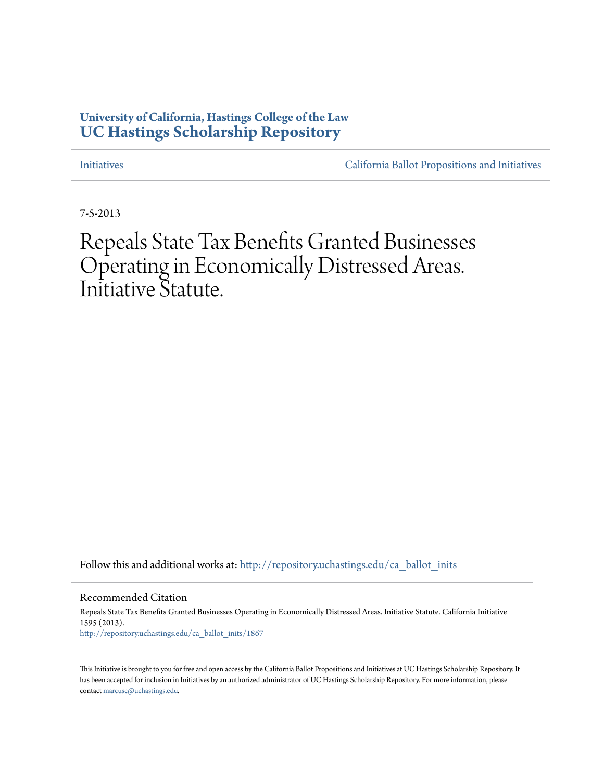## **University of California, Hastings College of the Law [UC Hastings Scholarship Repository](http://repository.uchastings.edu?utm_source=repository.uchastings.edu%2Fca_ballot_inits%2F1867&utm_medium=PDF&utm_campaign=PDFCoverPages)**

[Initiatives](http://repository.uchastings.edu/ca_ballot_inits?utm_source=repository.uchastings.edu%2Fca_ballot_inits%2F1867&utm_medium=PDF&utm_campaign=PDFCoverPages) [California Ballot Propositions and Initiatives](http://repository.uchastings.edu/ca_ballots?utm_source=repository.uchastings.edu%2Fca_ballot_inits%2F1867&utm_medium=PDF&utm_campaign=PDFCoverPages)

7-5-2013

## Repeals State Tax Benefits Granted Businesses Operating in Economically Distressed Areas. Initiative Statute.

Follow this and additional works at: [http://repository.uchastings.edu/ca\\_ballot\\_inits](http://repository.uchastings.edu/ca_ballot_inits?utm_source=repository.uchastings.edu%2Fca_ballot_inits%2F1867&utm_medium=PDF&utm_campaign=PDFCoverPages)

Recommended Citation

Repeals State Tax Benefits Granted Businesses Operating in Economically Distressed Areas. Initiative Statute. California Initiative 1595 (2013). [http://repository.uchastings.edu/ca\\_ballot\\_inits/1867](http://repository.uchastings.edu/ca_ballot_inits/1867?utm_source=repository.uchastings.edu%2Fca_ballot_inits%2F1867&utm_medium=PDF&utm_campaign=PDFCoverPages)

This Initiative is brought to you for free and open access by the California Ballot Propositions and Initiatives at UC Hastings Scholarship Repository. It has been accepted for inclusion in Initiatives by an authorized administrator of UC Hastings Scholarship Repository. For more information, please contact [marcusc@uchastings.edu](mailto:marcusc@uchastings.edu).